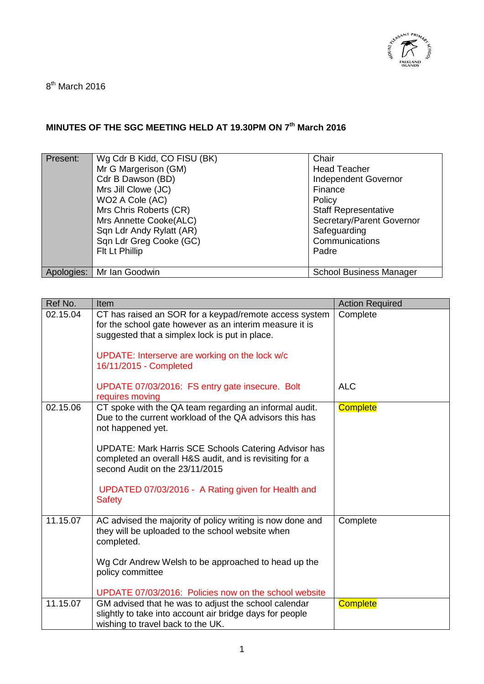

8<sup>th</sup> March 2016

## **MINUTES OF THE SGC MEETING HELD AT 19.30PM ON 7 th March 2016**

| Present: | Wg Cdr B Kidd, CO FISU (BK)<br>Mr G Margerison (GM)<br>Cdr B Dawson (BD)<br>Mrs Jill Clowe (JC)<br>WO2 A Cole (AC)<br>Mrs Chris Roberts (CR)<br>Mrs Annette Cooke(ALC)<br>Sqn Ldr Andy Rylatt (AR)<br>Sqn Ldr Greg Cooke (GC) | Chair<br><b>Head Teacher</b><br><b>Independent Governor</b><br>Finance<br>Policy<br><b>Staff Representative</b><br>Secretary/Parent Governor<br>Safeguarding<br>Communications |
|----------|-------------------------------------------------------------------------------------------------------------------------------------------------------------------------------------------------------------------------------|--------------------------------------------------------------------------------------------------------------------------------------------------------------------------------|
|          | Flt Lt Phillip                                                                                                                                                                                                                | Padre                                                                                                                                                                          |
|          | Apologies:   Mr Ian Goodwin                                                                                                                                                                                                   | <b>School Business Manager</b>                                                                                                                                                 |

| Ref No.  | Item                                                                                                                                                                                                                  | <b>Action Required</b> |
|----------|-----------------------------------------------------------------------------------------------------------------------------------------------------------------------------------------------------------------------|------------------------|
| 02.15.04 | CT has raised an SOR for a keypad/remote access system<br>for the school gate however as an interim measure it is<br>suggested that a simplex lock is put in place.<br>UPDATE: Interserve are working on the lock w/c | Complete               |
|          | 16/11/2015 - Completed                                                                                                                                                                                                |                        |
|          | UPDATE 07/03/2016: FS entry gate insecure. Bolt<br>requires moving                                                                                                                                                    | <b>ALC</b>             |
| 02.15.06 | CT spoke with the QA team regarding an informal audit.<br>Due to the current workload of the QA advisors this has<br>not happened yet.                                                                                | <b>Complete</b>        |
|          | <b>UPDATE: Mark Harris SCE Schools Catering Advisor has</b><br>completed an overall H&S audit, and is revisiting for a<br>second Audit on the 23/11/2015                                                              |                        |
|          | UPDATED 07/03/2016 - A Rating given for Health and<br><b>Safety</b>                                                                                                                                                   |                        |
| 11.15.07 | AC advised the majority of policy writing is now done and<br>they will be uploaded to the school website when<br>completed.                                                                                           | Complete               |
|          | Wg Cdr Andrew Welsh to be approached to head up the<br>policy committee                                                                                                                                               |                        |
|          | UPDATE 07/03/2016: Policies now on the school website                                                                                                                                                                 |                        |
| 11.15.07 | GM advised that he was to adjust the school calendar<br>slightly to take into account air bridge days for people<br>wishing to travel back to the UK.                                                                 | <b>Complete</b>        |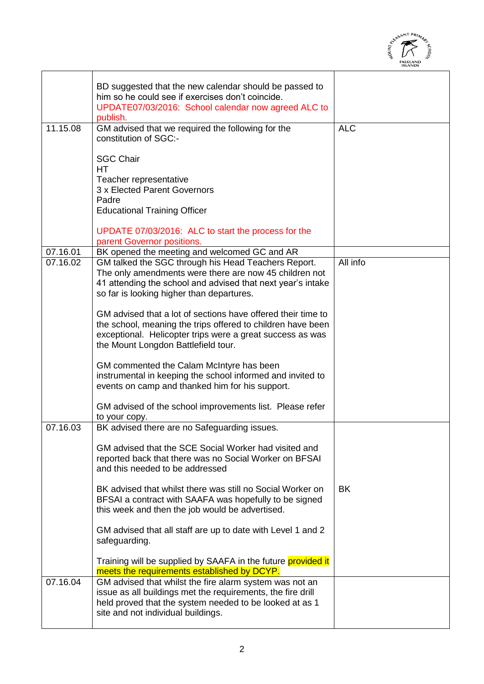

|          |                                                                                                                                                                                                                                 | <b>ISLANDS</b> |
|----------|---------------------------------------------------------------------------------------------------------------------------------------------------------------------------------------------------------------------------------|----------------|
|          | BD suggested that the new calendar should be passed to<br>him so he could see if exercises don't coincide.<br>UPDATE07/03/2016: School calendar now agreed ALC to<br>publish.                                                   |                |
| 11.15.08 | GM advised that we required the following for the<br>constitution of SGC:-                                                                                                                                                      | <b>ALC</b>     |
|          | <b>SGC Chair</b><br><b>HT</b>                                                                                                                                                                                                   |                |
|          | Teacher representative<br>3 x Elected Parent Governors                                                                                                                                                                          |                |
|          | Padre<br><b>Educational Training Officer</b>                                                                                                                                                                                    |                |
|          | UPDATE 07/03/2016: ALC to start the process for the<br>parent Governor positions.                                                                                                                                               |                |
| 07.16.01 | BK opened the meeting and welcomed GC and AR                                                                                                                                                                                    |                |
| 07.16.02 | GM talked the SGC through his Head Teachers Report.<br>The only amendments were there are now 45 children not<br>41 attending the school and advised that next year's intake<br>so far is looking higher than departures.       | All info       |
|          | GM advised that a lot of sections have offered their time to<br>the school, meaning the trips offered to children have been<br>exceptional. Helicopter trips were a great success as was<br>the Mount Longdon Battlefield tour. |                |
|          | GM commented the Calam McIntyre has been<br>instrumental in keeping the school informed and invited to<br>events on camp and thanked him for his support.                                                                       |                |
|          | GM advised of the school improvements list. Please refer<br>to your copy.                                                                                                                                                       |                |
| 07.16.03 | BK advised there are no Safeguarding issues.                                                                                                                                                                                    |                |
|          | GM advised that the SCE Social Worker had visited and<br>reported back that there was no Social Worker on BFSAI<br>and this needed to be addressed                                                                              |                |
|          | BK advised that whilst there was still no Social Worker on<br>BFSAI a contract with SAAFA was hopefully to be signed<br>this week and then the job would be advertised.                                                         | <b>BK</b>      |
|          | GM advised that all staff are up to date with Level 1 and 2<br>safeguarding.                                                                                                                                                    |                |
|          | Training will be supplied by SAAFA in the future <b>provided it</b><br>meets the requirements established by DCYP.                                                                                                              |                |
| 07.16.04 | GM advised that whilst the fire alarm system was not an<br>issue as all buildings met the requirements, the fire drill<br>held proved that the system needed to be looked at as 1<br>site and not individual buildings.         |                |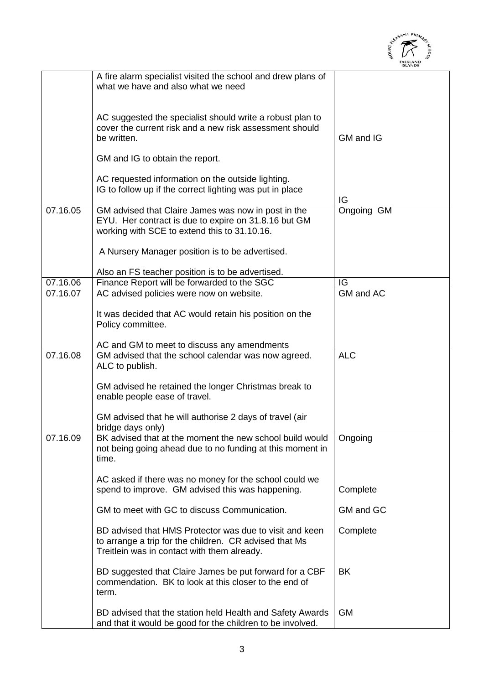

|          |                                                                                                                                                                  | <b>ISLANDS</b> |
|----------|------------------------------------------------------------------------------------------------------------------------------------------------------------------|----------------|
|          | A fire alarm specialist visited the school and drew plans of<br>what we have and also what we need                                                               |                |
|          | AC suggested the specialist should write a robust plan to<br>cover the current risk and a new risk assessment should<br>be written.                              | GM and IG      |
|          | GM and IG to obtain the report.                                                                                                                                  |                |
|          | AC requested information on the outside lighting.<br>IG to follow up if the correct lighting was put in place                                                    | IG             |
| 07.16.05 | GM advised that Claire James was now in post in the<br>EYU. Her contract is due to expire on 31.8.16 but GM<br>working with SCE to extend this to 31.10.16.      | Ongoing GM     |
|          | A Nursery Manager position is to be advertised.                                                                                                                  |                |
|          | Also an FS teacher position is to be advertised.                                                                                                                 |                |
| 07.16.06 | Finance Report will be forwarded to the SGC                                                                                                                      | IG             |
| 07.16.07 | AC advised policies were now on website.                                                                                                                         | GM and AC      |
|          | It was decided that AC would retain his position on the<br>Policy committee.                                                                                     |                |
|          | AC and GM to meet to discuss any amendments                                                                                                                      |                |
| 07.16.08 | GM advised that the school calendar was now agreed.<br>ALC to publish.                                                                                           | <b>ALC</b>     |
|          | GM advised he retained the longer Christmas break to<br>enable people ease of travel.                                                                            |                |
|          | GM advised that he will authorise 2 days of travel (air<br>bridge days only)                                                                                     |                |
| 07.16.09 | BK advised that at the moment the new school build would<br>not being going ahead due to no funding at this moment in<br>time.                                   | Ongoing        |
|          | AC asked if there was no money for the school could we<br>spend to improve. GM advised this was happening.                                                       | Complete       |
|          | GM to meet with GC to discuss Communication.                                                                                                                     | GM and GC      |
|          | BD advised that HMS Protector was due to visit and keen<br>to arrange a trip for the children. CR advised that Ms<br>Treitlein was in contact with them already. | Complete       |
|          | BD suggested that Claire James be put forward for a CBF<br>commendation. BK to look at this closer to the end of<br>term.                                        | BK             |
|          | BD advised that the station held Health and Safety Awards<br>and that it would be good for the children to be involved.                                          | <b>GM</b>      |